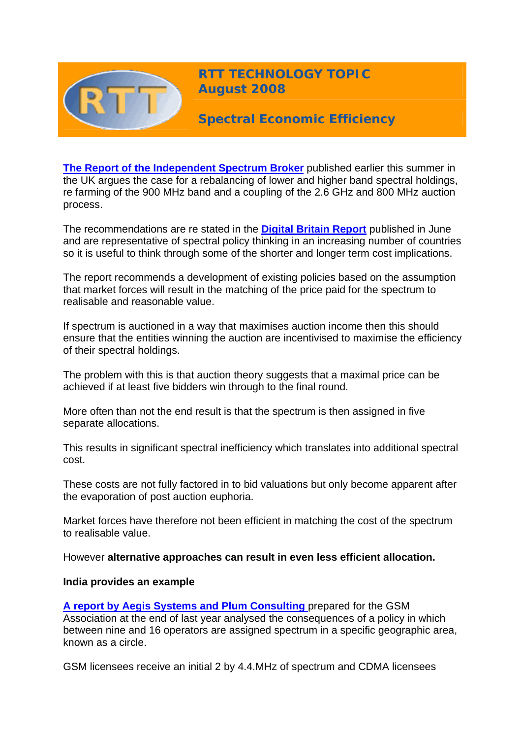

**RTT TECHNOLOGY TOPIC August 2008**

**Spectral Economic Efficiency** 

**[The Report of the Independent Spectrum Broker](http://www.culture.gov.uk/reference_library/publications/6147.aspx/)** published earlier this summer in the UK argues the case for a rebalancing of lower and higher band spectral holdings, re farming of the 900 MHz band and a coupling of the 2.6 GHz and 800 MHz auction process.

The recommendations are re stated in the **[Digital Britain Report](http://www.culture.gov.uk/images/publications/digitalbritain-finalreport-jun09.pdf)** published in June and are representative of spectral policy thinking in an increasing number of countries so it is useful to think through some of the shorter and longer term cost implications.

The report recommends a development of existing policies based on the assumption that market forces will result in the matching of the price paid for the spectrum to realisable and reasonable value.

If spectrum is auctioned in a way that maximises auction income then this should ensure that the entities winning the auction are incentivised to maximise the efficiency of their spectral holdings.

The problem with this is that auction theory suggests that a maximal price can be achieved if at least five bidders win through to the final round.

More often than not the end result is that the spectrum is then assigned in five separate allocations.

This results in significant spectral inefficiency which translates into additional spectral cost.

These costs are not fully factored in to bid valuations but only become apparent after the evaporation of post auction euphoria.

Market forces have therefore not been efficient in matching the cost of the spectrum to realisable value.

However **alternative approaches can result in even less efficient allocation.**

### **India provides an example**

**[A report by Aegis Systems and Plum Consulting](http://www.aegis-systems.co.uk/download/2021/spectrum%20management%20(india).pdf)** prepared for the GSM Association at the end of last year analysed the consequences of a policy in which between nine and 16 operators are assigned spectrum in a specific geographic area, known as a circle.

GSM licensees receive an initial 2 by 4.4.MHz of spectrum and CDMA licensees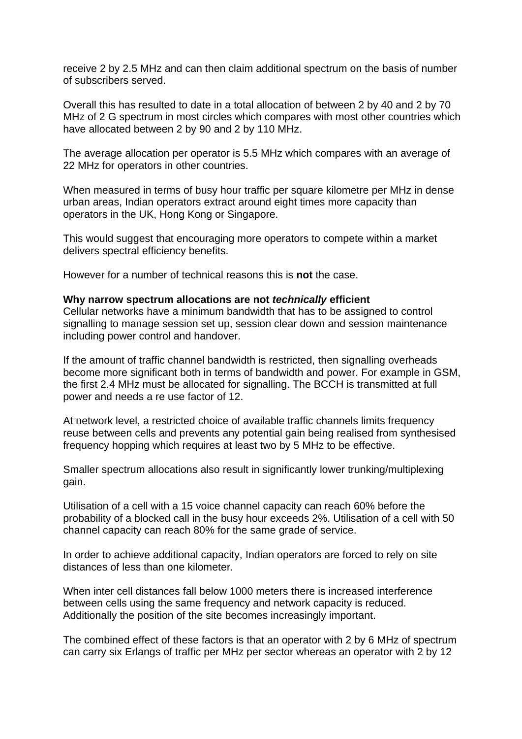receive 2 by 2.5 MHz and can then claim additional spectrum on the basis of number of subscribers served.

Overall this has resulted to date in a total allocation of between 2 by 40 and 2 by 70 MHz of 2 G spectrum in most circles which compares with most other countries which have allocated between 2 by 90 and 2 by 110 MHz.

The average allocation per operator is 5.5 MHz which compares with an average of 22 MHz for operators in other countries.

When measured in terms of busy hour traffic per square kilometre per MHz in dense urban areas, Indian operators extract around eight times more capacity than operators in the UK, Hong Kong or Singapore.

This would suggest that encouraging more operators to compete within a market delivers spectral efficiency benefits.

However for a number of technical reasons this is **not** the case.

#### **Why narrow spectrum allocations are not** *technically* **efficient**

Cellular networks have a minimum bandwidth that has to be assigned to control signalling to manage session set up, session clear down and session maintenance including power control and handover.

If the amount of traffic channel bandwidth is restricted, then signalling overheads become more significant both in terms of bandwidth and power. For example in GSM, the first 2.4 MHz must be allocated for signalling. The BCCH is transmitted at full power and needs a re use factor of 12.

At network level, a restricted choice of available traffic channels limits frequency reuse between cells and prevents any potential gain being realised from synthesised frequency hopping which requires at least two by 5 MHz to be effective.

Smaller spectrum allocations also result in significantly lower trunking/multiplexing gain.

Utilisation of a cell with a 15 voice channel capacity can reach 60% before the probability of a blocked call in the busy hour exceeds 2%. Utilisation of a cell with 50 channel capacity can reach 80% for the same grade of service.

In order to achieve additional capacity, Indian operators are forced to rely on site distances of less than one kilometer.

When inter cell distances fall below 1000 meters there is increased interference between cells using the same frequency and network capacity is reduced. Additionally the position of the site becomes increasingly important.

The combined effect of these factors is that an operator with 2 by 6 MHz of spectrum can carry six Erlangs of traffic per MHz per sector whereas an operator with 2 by 12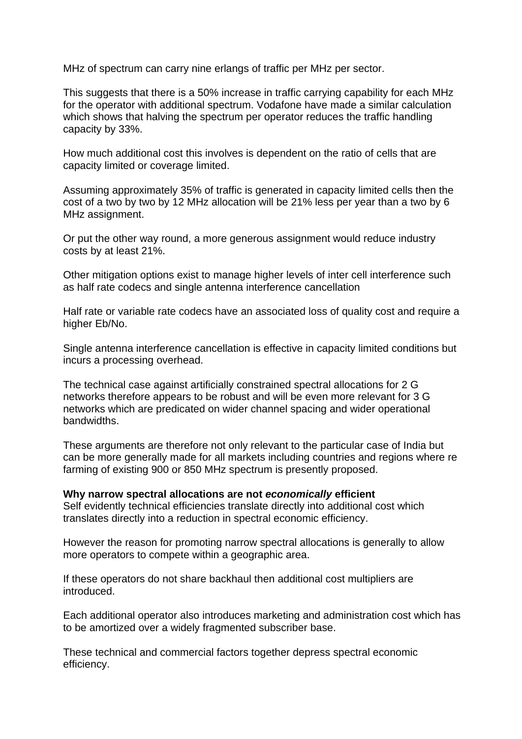MHz of spectrum can carry nine erlangs of traffic per MHz per sector.

This suggests that there is a 50% increase in traffic carrying capability for each MHz for the operator with additional spectrum. Vodafone have made a similar calculation which shows that halving the spectrum per operator reduces the traffic handling capacity by 33%.

How much additional cost this involves is dependent on the ratio of cells that are capacity limited or coverage limited.

Assuming approximately 35% of traffic is generated in capacity limited cells then the cost of a two by two by 12 MHz allocation will be 21% less per year than a two by 6 MHz assignment.

Or put the other way round, a more generous assignment would reduce industry costs by at least 21%.

Other mitigation options exist to manage higher levels of inter cell interference such as half rate codecs and single antenna interference cancellation

Half rate or variable rate codecs have an associated loss of quality cost and require a higher Eb/No.

Single antenna interference cancellation is effective in capacity limited conditions but incurs a processing overhead.

The technical case against artificially constrained spectral allocations for 2 G networks therefore appears to be robust and will be even more relevant for 3 G networks which are predicated on wider channel spacing and wider operational bandwidths.

These arguments are therefore not only relevant to the particular case of India but can be more generally made for all markets including countries and regions where re farming of existing 900 or 850 MHz spectrum is presently proposed.

**Why narrow spectral allocations are not** *economically* **efficient**  Self evidently technical efficiencies translate directly into additional cost which translates directly into a reduction in spectral economic efficiency.

However the reason for promoting narrow spectral allocations is generally to allow more operators to compete within a geographic area.

If these operators do not share backhaul then additional cost multipliers are introduced.

Each additional operator also introduces marketing and administration cost which has to be amortized over a widely fragmented subscriber base.

These technical and commercial factors together depress spectral economic efficiency.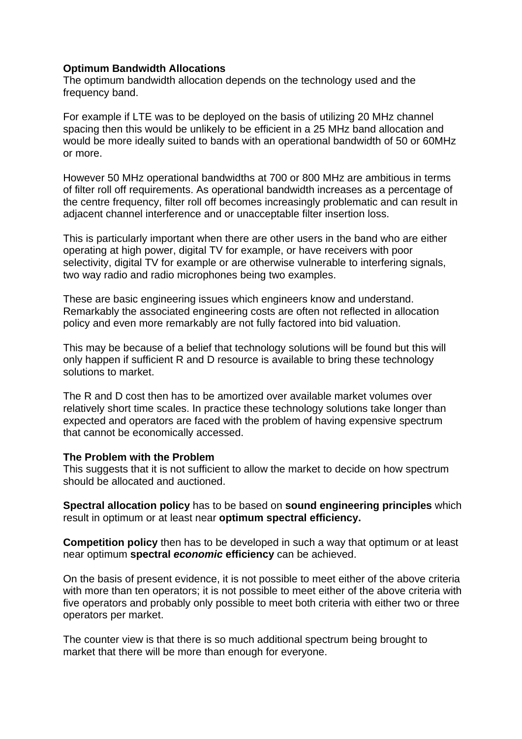### **Optimum Bandwidth Allocations**

The optimum bandwidth allocation depends on the technology used and the frequency band.

For example if LTE was to be deployed on the basis of utilizing 20 MHz channel spacing then this would be unlikely to be efficient in a 25 MHz band allocation and would be more ideally suited to bands with an operational bandwidth of 50 or 60MHz or more.

However 50 MHz operational bandwidths at 700 or 800 MHz are ambitious in terms of filter roll off requirements. As operational bandwidth increases as a percentage of the centre frequency, filter roll off becomes increasingly problematic and can result in adjacent channel interference and or unacceptable filter insertion loss.

This is particularly important when there are other users in the band who are either operating at high power, digital TV for example, or have receivers with poor selectivity, digital TV for example or are otherwise vulnerable to interfering signals, two way radio and radio microphones being two examples.

These are basic engineering issues which engineers know and understand. Remarkably the associated engineering costs are often not reflected in allocation policy and even more remarkably are not fully factored into bid valuation.

This may be because of a belief that technology solutions will be found but this will only happen if sufficient R and D resource is available to bring these technology solutions to market.

The R and D cost then has to be amortized over available market volumes over relatively short time scales. In practice these technology solutions take longer than expected and operators are faced with the problem of having expensive spectrum that cannot be economically accessed.

### **The Problem with the Problem**

This suggests that it is not sufficient to allow the market to decide on how spectrum should be allocated and auctioned.

**Spectral allocation policy** has to be based on **sound engineering principles** which result in optimum or at least near **optimum spectral efficiency.**

**Competition policy** then has to be developed in such a way that optimum or at least near optimum **spectral** *economic* **efficiency** can be achieved.

On the basis of present evidence, it is not possible to meet either of the above criteria with more than ten operators; it is not possible to meet either of the above criteria with five operators and probably only possible to meet both criteria with either two or three operators per market.

The counter view is that there is so much additional spectrum being brought to market that there will be more than enough for everyone.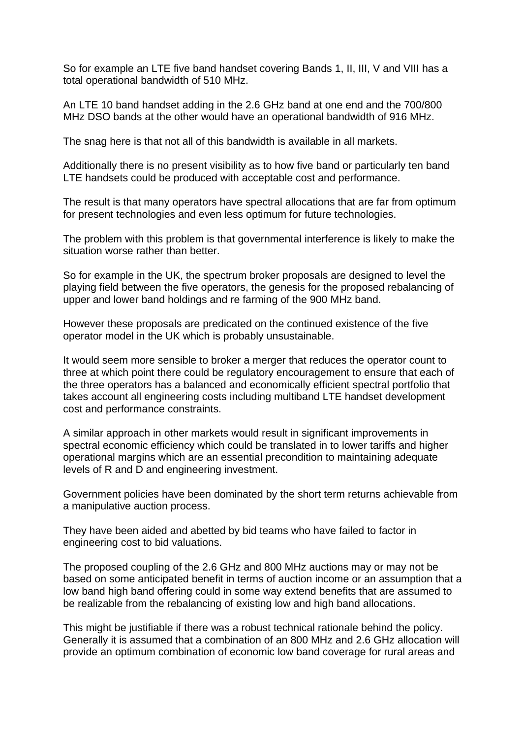So for example an LTE five band handset covering Bands 1, II, III, V and VIII has a total operational bandwidth of 510 MHz.

An LTE 10 band handset adding in the 2.6 GHz band at one end and the 700/800 MHz DSO bands at the other would have an operational bandwidth of 916 MHz.

The snag here is that not all of this bandwidth is available in all markets.

Additionally there is no present visibility as to how five band or particularly ten band LTE handsets could be produced with acceptable cost and performance.

The result is that many operators have spectral allocations that are far from optimum for present technologies and even less optimum for future technologies.

The problem with this problem is that governmental interference is likely to make the situation worse rather than better.

So for example in the UK, the spectrum broker proposals are designed to level the playing field between the five operators, the genesis for the proposed rebalancing of upper and lower band holdings and re farming of the 900 MHz band.

However these proposals are predicated on the continued existence of the five operator model in the UK which is probably unsustainable.

It would seem more sensible to broker a merger that reduces the operator count to three at which point there could be regulatory encouragement to ensure that each of the three operators has a balanced and economically efficient spectral portfolio that takes account all engineering costs including multiband LTE handset development cost and performance constraints.

A similar approach in other markets would result in significant improvements in spectral economic efficiency which could be translated in to lower tariffs and higher operational margins which are an essential precondition to maintaining adequate levels of R and D and engineering investment.

Government policies have been dominated by the short term returns achievable from a manipulative auction process.

They have been aided and abetted by bid teams who have failed to factor in engineering cost to bid valuations.

The proposed coupling of the 2.6 GHz and 800 MHz auctions may or may not be based on some anticipated benefit in terms of auction income or an assumption that a low band high band offering could in some way extend benefits that are assumed to be realizable from the rebalancing of existing low and high band allocations.

This might be justifiable if there was a robust technical rationale behind the policy. Generally it is assumed that a combination of an 800 MHz and 2.6 GHz allocation will provide an optimum combination of economic low band coverage for rural areas and